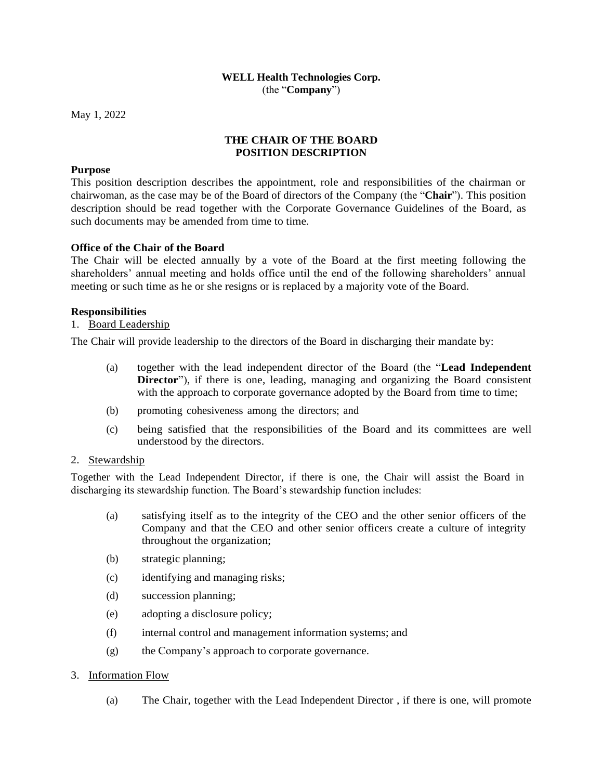#### **WELL Health Technologies Corp.** (the "**Company**")

May 1, 2022

# **THE CHAIR OF THE BOARD POSITION DESCRIPTION**

### **Purpose**

This position description describes the appointment, role and responsibilities of the chairman or chairwoman, as the case may be of the Board of directors of the Company (the "**Chair**"). This position description should be read together with the Corporate Governance Guidelines of the Board, as such documents may be amended from time to time.

### **Office of the Chair of the Board**

The Chair will be elected annually by a vote of the Board at the first meeting following the shareholders' annual meeting and holds office until the end of the following shareholders' annual meeting or such time as he or she resigns or is replaced by a majority vote of the Board.

# **Responsibilities**

# 1. Board Leadership

The Chair will provide leadership to the directors of the Board in discharging their mandate by:

- (a) together with the lead independent director of the Board (the "**Lead Independent Director**"), if there is one, leading, managing and organizing the Board consistent with the approach to corporate governance adopted by the Board from time to time;
- (b) promoting cohesiveness among the directors; and
- (c) being satisfied that the responsibilities of the Board and its committees are well understood by the directors.

#### 2. Stewardship

Together with the Lead Independent Director, if there is one, the Chair will assist the Board in discharging its stewardship function. The Board's stewardship function includes:

- (a) satisfying itself as to the integrity of the CEO and the other senior officers of the Company and that the CEO and other senior officers create a culture of integrity throughout the organization;
- (b) strategic planning;
- (c) identifying and managing risks;
- (d) succession planning;
- (e) adopting a disclosure policy;
- (f) internal control and management information systems; and
- (g) the Company's approach to corporate governance.

# 3. Information Flow

(a) The Chair, together with the Lead Independent Director , if there is one, will promote